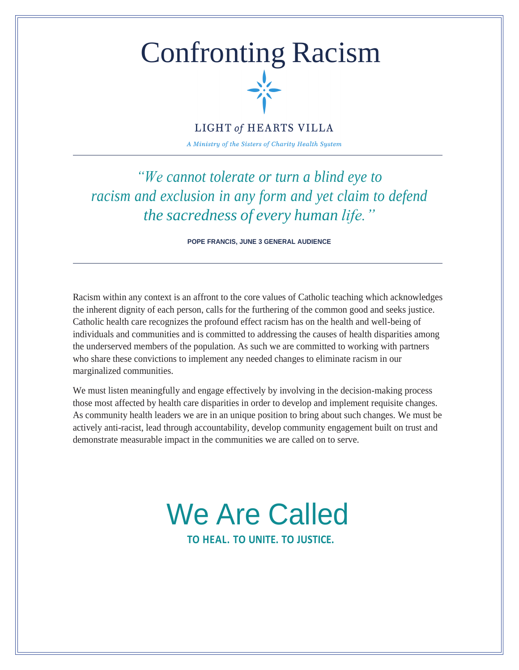# Confronting Racism



### **LIGHT of HEARTS VILLA**

A Ministry of the Sisters of Charity Health System

*"We cannot tolerate or turn a blind eye to racism and exclusion in any form and yet claim to defend the sacredness of every human life."*

**POPE FRANCIS, JUNE 3 GENERAL AUDIENCE**

Racism within any context is an affront to the core values of Catholic teaching which acknowledges the inherent dignity of each person, calls for the furthering of the common good and seeks justice. Catholic health care recognizes the profound effect racism has on the health and well-being of individuals and communities and is committed to addressing the causes of health disparities among the underserved members of the population. As such we are committed to working with partners who share these convictions to implement any needed changes to eliminate racism in our marginalized communities.

We must listen meaningfully and engage effectively by involving in the decision-making process those most affected by health care disparities in order to develop and implement requisite changes. As community health leaders we are in an unique position to bring about such changes. We must be actively anti-racist, lead through accountability, develop community engagement built on trust and demonstrate measurable impact in the communities we are called on to serve.

## We Are Called **TO HEAL. TO UNITE. TO JUSTICE.**